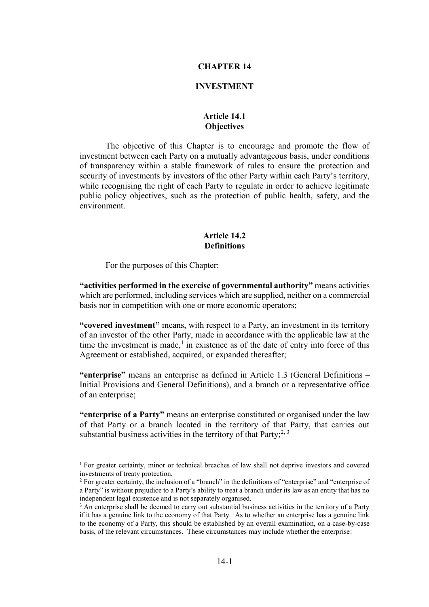#### **CHAPTER 14**

#### **INVESTMENT**

## **Article 14.1 Objectives**

The objective of this Chapter is to encourage and promote the flow of investment between each Party on a mutually advantageous basis, under conditions of transparency within a stable framework of rules to ensure the protection and security of investments by investors of the other Party within each Party's territory, while recognising the right of each Party to regulate in order to achieve legitimate public policy objectives, such as the protection of public health, safety, and the environment.

### **Article 14.2 Definitions**

For the purposes of this Chapter:

**"activities performed in the exercise of governmental authority"** means activities which are performed, including services which are supplied, neither on a commercial basis nor in competition with one or more economic operators;

**"covered investment"** means, with respect to a Party, an investment in its territory of an investor of the other Party, made in accordance with the applicable law at the time the investment is made, $\frac{1}{1}$  in existence as of the date of entry into force of this Agreement or established, acquired, or expanded thereafter;

**"enterprise"** means an enterprise as defined in Article 1.3 (General Definitions *–* Initial Provisions and General Definitions), and a branch or a representative office of an enterprise;

**"enterprise of a Party"** means an enterprise constituted or organised under the law of that Party or a branch located in the territory of that Party, that carries out substantial business activities in the territory of that  $Party$ ;<sup>2, 3</sup>

 $<sup>1</sup>$  For greater certainty, minor or technical breaches of law shall not deprive investors and covered</sup> investments of treaty protection.

<sup>&</sup>lt;sup>2</sup> For greater certainty, the inclusion of a "branch" in the definitions of "enterprise" and "enterprise of a Party" is without prejudice to a Party's ability to treat a branch under its law as an entity that has no independent legal existence and is not separately organised.

 $3$  An enterprise shall be deemed to carry out substantial business activities in the territory of a Party if it has a genuine link to the economy of that Party. As to whether an enterprise has a genuine link to the economy of a Party, this should be established by an overall examination, on a case-by-case basis, of the relevant circumstances. These circumstances may include whether the enterprise: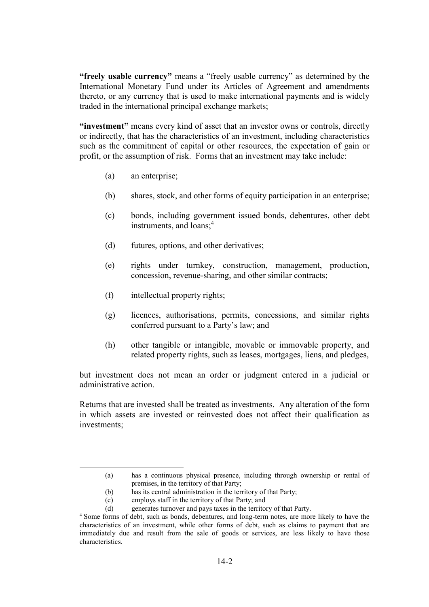**"freely usable currency"** means a "freely usable currency" as determined by the International Monetary Fund under its Articles of Agreement and amendments thereto, or any currency that is used to make international payments and is widely traded in the international principal exchange markets;

**"investment"** means every kind of asset that an investor owns or controls, directly or indirectly, that has the characteristics of an investment, including characteristics such as the commitment of capital or other resources, the expectation of gain or profit, or the assumption of risk. Forms that an investment may take include:

- (a) an enterprise;
- (b) shares, stock, and other forms of equity participation in an enterprise;
- (c) bonds, including government issued bonds, debentures, other debt instruments, and loans:<sup>4</sup>
- (d) futures, options, and other derivatives;
- (e) rights under turnkey, construction, management, production, concession, revenue-sharing, and other similar contracts;
- (f) intellectual property rights;
- (g) licences, authorisations, permits, concessions, and similar rights conferred pursuant to a Party's law; and
- (h) other tangible or intangible, movable or immovable property, and related property rights, such as leases, mortgages, liens, and pledges,

but investment does not mean an order or judgment entered in a judicial or administrative action.

Returns that are invested shall be treated as investments. Any alteration of the form in which assets are invested or reinvested does not affect their qualification as investments;

<sup>(</sup>a) has a continuous physical presence, including through ownership or rental of premises, in the territory of that Party;

<sup>(</sup>b) has its central administration in the territory of that Party;

<sup>(</sup>c) employs staff in the territory of that Party; and

<sup>(</sup>d) generates turnover and pays taxes in the territory of that Party.

<sup>4</sup> Some forms of debt, such as bonds, debentures, and long-term notes, are more likely to have the characteristics of an investment, while other forms of debt, such as claims to payment that are immediately due and result from the sale of goods or services, are less likely to have those characteristics.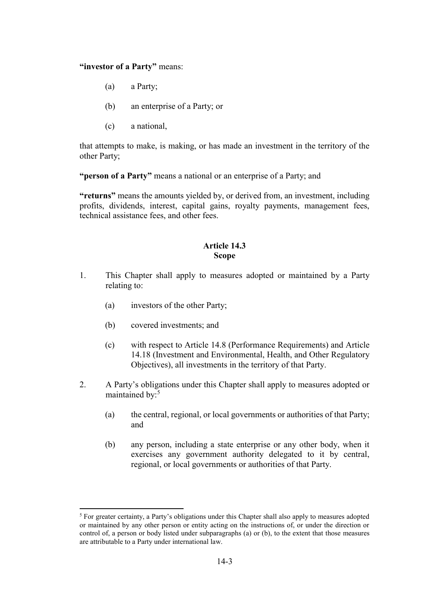#### **"investor of a Party"** means:

- (a) a Party;
- (b) an enterprise of a Party; or
- (c) a national,

that attempts to make, is making, or has made an investment in the territory of the other Party;

**"person of a Party"** means a national or an enterprise of a Party; and

**"returns"** means the amounts yielded by, or derived from, an investment, including profits, dividends, interest, capital gains, royalty payments, management fees, technical assistance fees, and other fees.

# **Article 14.3 Scope**

- 1. This Chapter shall apply to measures adopted or maintained by a Party relating to:
	- (a) investors of the other Party;
	- (b) covered investments; and

- (c) with respect to Article 14.8 (Performance Requirements) and Article 14.18 (Investment and Environmental, Health, and Other Regulatory Objectives), all investments in the territory of that Party.
- 2. A Party's obligations under this Chapter shall apply to measures adopted or maintained by:<sup>5</sup>
	- (a) the central, regional, or local governments or authorities of that Party; and
	- (b) any person, including a state enterprise or any other body, when it exercises any government authority delegated to it by central, regional, or local governments or authorities of that Party.

<sup>5</sup> For greater certainty, a Party's obligations under this Chapter shall also apply to measures adopted or maintained by any other person or entity acting on the instructions of, or under the direction or control of, a person or body listed under subparagraphs (a) or (b), to the extent that those measures are attributable to a Party under international law.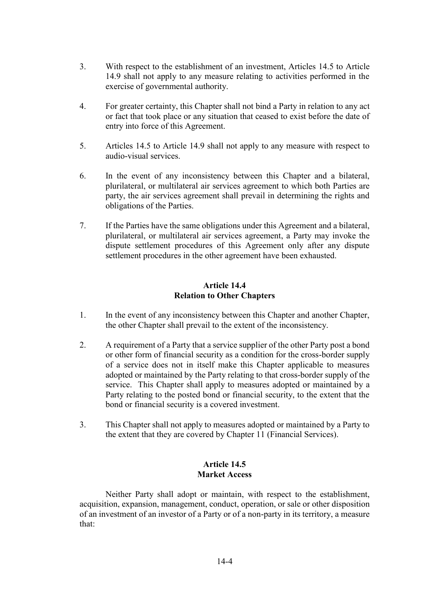- 3. With respect to the establishment of an investment, Articles 14.5 to Article 14.9 shall not apply to any measure relating to activities performed in the exercise of governmental authority.
- 4. For greater certainty, this Chapter shall not bind a Party in relation to any act or fact that took place or any situation that ceased to exist before the date of entry into force of this Agreement.
- 5. Articles 14.5 to Article 14.9 shall not apply to any measure with respect to audio-visual services.
- 6. In the event of any inconsistency between this Chapter and a bilateral, plurilateral, or multilateral air services agreement to which both Parties are party, the air services agreement shall prevail in determining the rights and obligations of the Parties.
- 7. If the Parties have the same obligations under this Agreement and a bilateral, plurilateral, or multilateral air services agreement, a Party may invoke the dispute settlement procedures of this Agreement only after any dispute settlement procedures in the other agreement have been exhausted.

# **Article 14.4 Relation to Other Chapters**

- 1. In the event of any inconsistency between this Chapter and another Chapter, the other Chapter shall prevail to the extent of the inconsistency.
- 2. A requirement of a Party that a service supplier of the other Party post a bond or other form of financial security as a condition for the cross-border supply of a service does not in itself make this Chapter applicable to measures adopted or maintained by the Party relating to that cross-border supply of the service. This Chapter shall apply to measures adopted or maintained by a Party relating to the posted bond or financial security, to the extent that the bond or financial security is a covered investment.
- 3. This Chapter shall not apply to measures adopted or maintained by a Party to the extent that they are covered by Chapter 11 (Financial Services).

# **Article 14.5 Market Access**

Neither Party shall adopt or maintain, with respect to the establishment, acquisition, expansion, management, conduct, operation, or sale or other disposition of an investment of an investor of a Party or of a non-party in its territory, a measure that: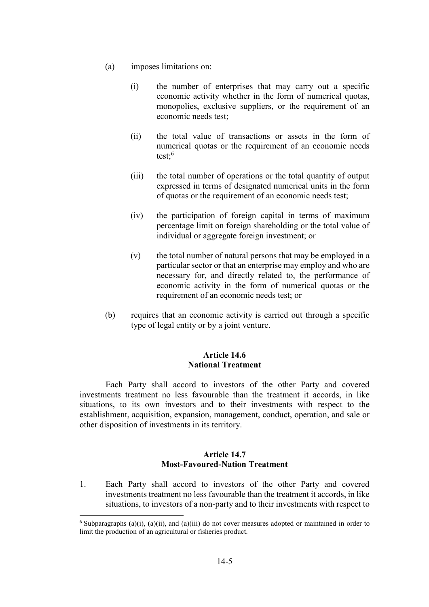- (a) imposes limitations on:
	- (i) the number of enterprises that may carry out a specific economic activity whether in the form of numerical quotas, monopolies, exclusive suppliers, or the requirement of an economic needs test;
	- (ii) the total value of transactions or assets in the form of numerical quotas or the requirement of an economic needs test: $6$
	- (iii) the total number of operations or the total quantity of output expressed in terms of designated numerical units in the form of quotas or the requirement of an economic needs test;
	- (iv) the participation of foreign capital in terms of maximum percentage limit on foreign shareholding or the total value of individual or aggregate foreign investment; or
	- (v) the total number of natural persons that may be employed in a particular sector or that an enterprise may employ and who are necessary for, and directly related to, the performance of economic activity in the form of numerical quotas or the requirement of an economic needs test; or
- (b) requires that an economic activity is carried out through a specific type of legal entity or by a joint venture.

# **Article 14.6 National Treatment**

Each Party shall accord to investors of the other Party and covered investments treatment no less favourable than the treatment it accords, in like situations, to its own investors and to their investments with respect to the establishment, acquisition, expansion, management, conduct, operation, and sale or other disposition of investments in its territory.

# **Article 14.7 Most-Favoured-Nation Treatment**

1. Each Party shall accord to investors of the other Party and covered investments treatment no less favourable than the treatment it accords, in like situations, to investors of a non-party and to their investments with respect to

 $6$  Subparagraphs (a)(i), (a)(ii), and (a)(iii) do not cover measures adopted or maintained in order to limit the production of an agricultural or fisheries product.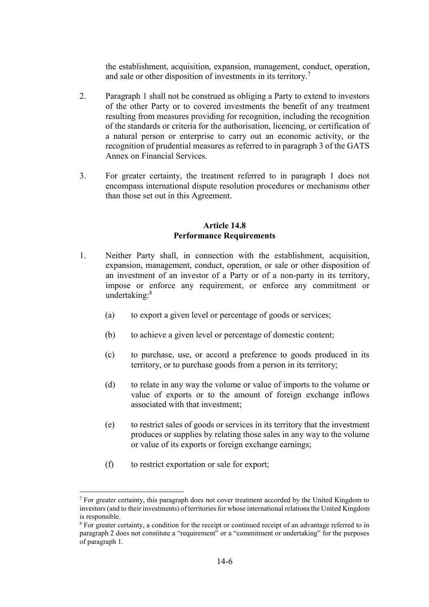the establishment, acquisition, expansion, management, conduct, operation, and sale or other disposition of investments in its territory.<sup>7</sup>

- 2. Paragraph 1 shall not be construed as obliging a Party to extend to investors of the other Party or to covered investments the benefit of any treatment resulting from measures providing for recognition, including the recognition of the standards or criteria for the authorisation, licencing, or certification of a natural person or enterprise to carry out an economic activity, or the recognition of prudential measures as referred to in paragraph 3 of the GATS Annex on Financial Services.
- 3. For greater certainty, the treatment referred to in paragraph 1 does not encompass international dispute resolution procedures or mechanisms other than those set out in this Agreement.

#### **Article 14.8 Performance Requirements**

- 1. Neither Party shall, in connection with the establishment, acquisition, expansion, management, conduct, operation, or sale or other disposition of an investment of an investor of a Party or of a non-party in its territory, impose or enforce any requirement, or enforce any commitment or undertaking:<sup>8</sup>
	- (a) to export a given level or percentage of goods or services;
	- (b) to achieve a given level or percentage of domestic content;
	- (c) to purchase, use, or accord a preference to goods produced in its territory, or to purchase goods from a person in its territory;
	- (d) to relate in any way the volume or value of imports to the volume or value of exports or to the amount of foreign exchange inflows associated with that investment;
	- (e) to restrict sales of goods or services in its territory that the investment produces or supplies by relating those sales in any way to the volume or value of its exports or foreign exchange earnings;
	- (f) to restrict exportation or sale for export;

 $<sup>7</sup>$  For greater certainty, this paragraph does not cover treatment accorded by the United Kingdom to</sup> investors (and to their investments) of territories for whose international relations the United Kingdom is responsible.

<sup>8</sup> For greater certainty, a condition for the receipt or continued receipt of an advantage referred to in paragraph 2 does not constitute a "requirement" or a "commitment or undertaking" for the purposes of paragraph 1.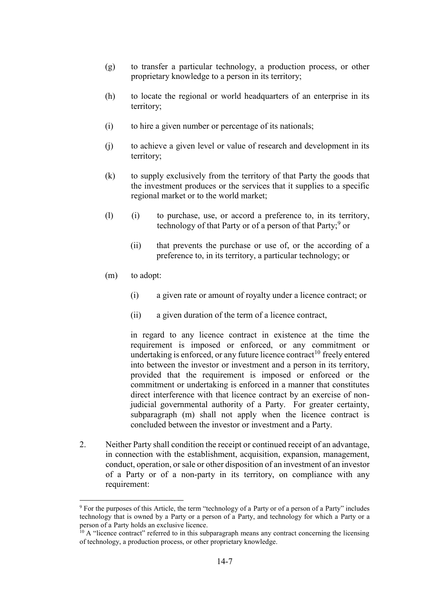- (g) to transfer a particular technology, a production process, or other proprietary knowledge to a person in its territory;
- (h) to locate the regional or world headquarters of an enterprise in its territory;
- (i) to hire a given number or percentage of its nationals;
- (j) to achieve a given level or value of research and development in its territory;
- (k) to supply exclusively from the territory of that Party the goods that the investment produces or the services that it supplies to a specific regional market or to the world market;
- (l) (i) to purchase, use, or accord a preference to, in its territory, technology of that Party or of a person of that Party;<sup>9</sup> or
	- (ii) that prevents the purchase or use of, or the according of a preference to, in its territory, a particular technology; or
- (m) to adopt:

- (i) a given rate or amount of royalty under a licence contract; or
- (ii) a given duration of the term of a licence contract,

in regard to any licence contract in existence at the time the requirement is imposed or enforced, or any commitment or undertaking is enforced, or any future licence contract<sup>10</sup> freely entered into between the investor or investment and a person in its territory, provided that the requirement is imposed or enforced or the commitment or undertaking is enforced in a manner that constitutes direct interference with that licence contract by an exercise of nonjudicial governmental authority of a Party. For greater certainty, subparagraph (m) shall not apply when the licence contract is concluded between the investor or investment and a Party.

2. Neither Party shall condition the receipt or continued receipt of an advantage, in connection with the establishment, acquisition, expansion, management, conduct, operation, or sale or other disposition of an investment of an investor of a Party or of a non-party in its territory, on compliance with any requirement:

<sup>&</sup>lt;sup>9</sup> For the purposes of this Article, the term "technology of a Party or of a person of a Party" includes technology that is owned by a Party or a person of a Party, and technology for which a Party or a person of a Party holds an exclusive licence.

 $10$  A "licence contract" referred to in this subparagraph means any contract concerning the licensing of technology, a production process, or other proprietary knowledge.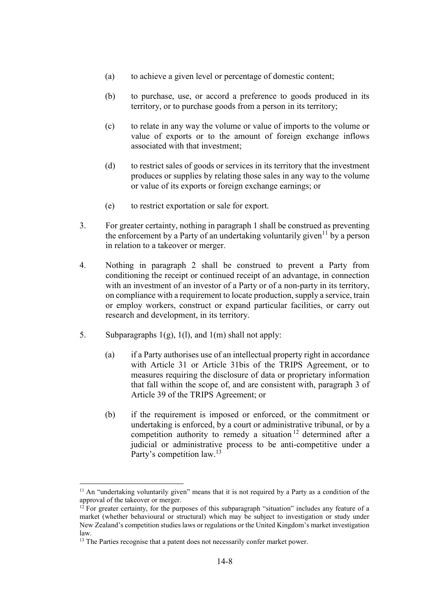- (a) to achieve a given level or percentage of domestic content;
- (b) to purchase, use, or accord a preference to goods produced in its territory, or to purchase goods from a person in its territory;
- (c) to relate in any way the volume or value of imports to the volume or value of exports or to the amount of foreign exchange inflows associated with that investment;
- (d) to restrict sales of goods or services in its territory that the investment produces or supplies by relating those sales in any way to the volume or value of its exports or foreign exchange earnings; or
- (e) to restrict exportation or sale for export.
- 3. For greater certainty, nothing in paragraph 1 shall be construed as preventing the enforcement by a Party of an undertaking voluntarily given<sup>11</sup> by a person in relation to a takeover or merger.
- 4. Nothing in paragraph 2 shall be construed to prevent a Party from conditioning the receipt or continued receipt of an advantage, in connection with an investment of an investor of a Party or of a non-party in its territory, on compliance with a requirement to locate production, supply a service, train or employ workers, construct or expand particular facilities, or carry out research and development, in its territory.
- 5. Subparagraphs  $1(g)$ ,  $1(l)$ , and  $1(m)$  shall not apply:
	- (a) if a Party authorises use of an intellectual property right in accordance with Article 31 or Article 31bis of the TRIPS Agreement, or to measures requiring the disclosure of data or proprietary information that fall within the scope of, and are consistent with, paragraph 3 of Article 39 of the TRIPS Agreement; or
	- (b) if the requirement is imposed or enforced, or the commitment or undertaking is enforced, by a court or administrative tribunal, or by a competition authority to remedy a situation <sup>12</sup> determined after a judicial or administrative process to be anti-competitive under a Party's competition law.<sup>13</sup>

 $11$  An "undertaking voluntarily given" means that it is not required by a Party as a condition of the approval of the takeover or merger.

 $12$  For greater certainty, for the purposes of this subparagraph "situation" includes any feature of a market (whether behavioural or structural) which may be subject to investigation or study under New Zealand's competition studies laws or regulations or the United Kingdom's market investigation law.

<sup>&</sup>lt;sup>13</sup> The Parties recognise that a patent does not necessarily confer market power.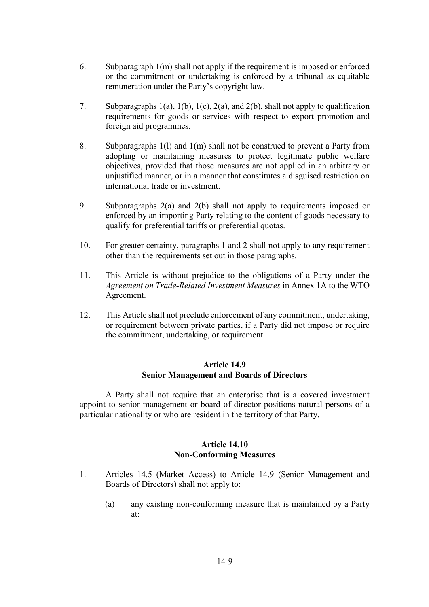- 6. Subparagraph 1(m) shall not apply if the requirement is imposed or enforced or the commitment or undertaking is enforced by a tribunal as equitable remuneration under the Party's copyright law.
- 7. Subparagraphs 1(a), 1(b), 1(c), 2(a), and 2(b), shall not apply to qualification requirements for goods or services with respect to export promotion and foreign aid programmes.
- 8. Subparagraphs 1(l) and 1(m) shall not be construed to prevent a Party from adopting or maintaining measures to protect legitimate public welfare objectives, provided that those measures are not applied in an arbitrary or unjustified manner, or in a manner that constitutes a disguised restriction on international trade or investment.
- 9. Subparagraphs 2(a) and 2(b) shall not apply to requirements imposed or enforced by an importing Party relating to the content of goods necessary to qualify for preferential tariffs or preferential quotas.
- 10. For greater certainty, paragraphs 1 and 2 shall not apply to any requirement other than the requirements set out in those paragraphs.
- 11. This Article is without prejudice to the obligations of a Party under the *Agreement on Trade-Related Investment Measures* in Annex 1A to the WTO Agreement.
- 12. This Article shall not preclude enforcement of any commitment, undertaking, or requirement between private parties, if a Party did not impose or require the commitment, undertaking, or requirement.

### **Article 14.9 Senior Management and Boards of Directors**

A Party shall not require that an enterprise that is a covered investment appoint to senior management or board of director positions natural persons of a particular nationality or who are resident in the territory of that Party.

### **Article 14.10 Non-Conforming Measures**

- 1. Articles 14.5 (Market Access) to Article 14.9 (Senior Management and Boards of Directors) shall not apply to:
	- (a) any existing non-conforming measure that is maintained by a Party at: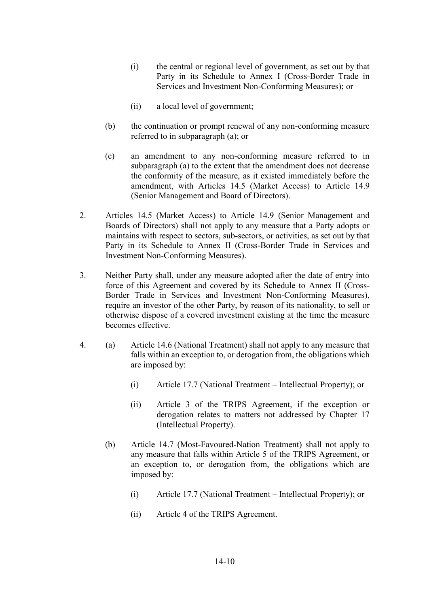- (i) the central or regional level of government, as set out by that Party in its Schedule to Annex I (Cross-Border Trade in Services and Investment Non-Conforming Measures); or
- (ii) a local level of government;
- (b) the continuation or prompt renewal of any non-conforming measure referred to in subparagraph (a); or
- (c) an amendment to any non-conforming measure referred to in subparagraph (a) to the extent that the amendment does not decrease the conformity of the measure, as it existed immediately before the amendment, with Articles 14.5 (Market Access) to Article 14.9 (Senior Management and Board of Directors).
- 2. Articles 14.5 (Market Access) to Article 14.9 (Senior Management and Boards of Directors) shall not apply to any measure that a Party adopts or maintains with respect to sectors, sub-sectors, or activities, as set out by that Party in its Schedule to Annex II (Cross-Border Trade in Services and Investment Non-Conforming Measures).
- 3. Neither Party shall, under any measure adopted after the date of entry into force of this Agreement and covered by its Schedule to Annex II (Cross-Border Trade in Services and Investment Non-Conforming Measures), require an investor of the other Party, by reason of its nationality, to sell or otherwise dispose of a covered investment existing at the time the measure becomes effective.
- 4. (a) Article 14.6 (National Treatment) shall not apply to any measure that falls within an exception to, or derogation from, the obligations which are imposed by:
	- (i) Article 17.7 (National Treatment Intellectual Property); or
	- (ii) Article 3 of the TRIPS Agreement, if the exception or derogation relates to matters not addressed by Chapter 17 (Intellectual Property).
	- (b) Article 14.7 (Most-Favoured-Nation Treatment) shall not apply to any measure that falls within Article 5 of the TRIPS Agreement, or an exception to, or derogation from, the obligations which are imposed by:
		- (i) Article 17.7 (National Treatment Intellectual Property); or
		- (ii) Article 4 of the TRIPS Agreement.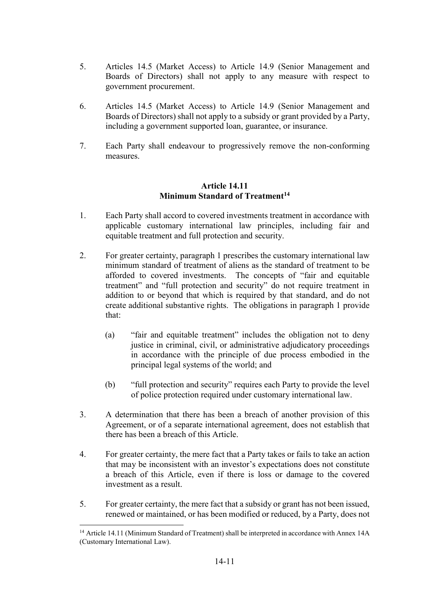- 5. Articles 14.5 (Market Access) to Article 14.9 (Senior Management and Boards of Directors) shall not apply to any measure with respect to government procurement.
- 6. Articles 14.5 (Market Access) to Article 14.9 (Senior Management and Boards of Directors) shall not apply to a subsidy or grant provided by a Party, including a government supported loan, guarantee, or insurance.
- 7. Each Party shall endeavour to progressively remove the non-conforming measures.

# **Article 14.11 Minimum Standard of Treatment<sup>14</sup>**

- 1. Each Party shall accord to covered investments treatment in accordance with applicable customary international law principles, including fair and equitable treatment and full protection and security.
- 2. For greater certainty, paragraph 1 prescribes the customary international law minimum standard of treatment of aliens as the standard of treatment to be afforded to covered investments. The concepts of "fair and equitable treatment" and "full protection and security" do not require treatment in addition to or beyond that which is required by that standard, and do not create additional substantive rights. The obligations in paragraph 1 provide that:
	- (a) "fair and equitable treatment" includes the obligation not to deny justice in criminal, civil, or administrative adjudicatory proceedings in accordance with the principle of due process embodied in the principal legal systems of the world; and
	- (b) "full protection and security" requires each Party to provide the level of police protection required under customary international law.
- 3. A determination that there has been a breach of another provision of this Agreement, or of a separate international agreement, does not establish that there has been a breach of this Article.
- 4. For greater certainty, the mere fact that a Party takes or fails to take an action that may be inconsistent with an investor's expectations does not constitute a breach of this Article, even if there is loss or damage to the covered investment as a result.
- 5. For greater certainty, the mere fact that a subsidy or grant has not been issued, renewed or maintained, or has been modified or reduced, by a Party, does not

<sup>&</sup>lt;sup>14</sup> Article 14.11 (Minimum Standard of Treatment) shall be interpreted in accordance with Annex 14A (Customary International Law).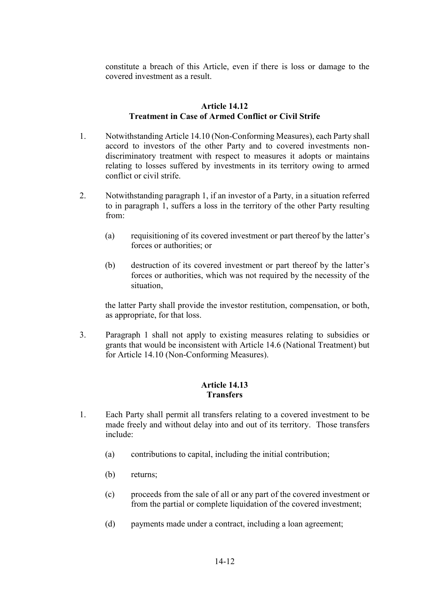constitute a breach of this Article, even if there is loss or damage to the covered investment as a result.

## **Article 14.12 Treatment in Case of Armed Conflict or Civil Strife**

- 1. Notwithstanding Article 14.10 (Non-Conforming Measures), each Party shall accord to investors of the other Party and to covered investments nondiscriminatory treatment with respect to measures it adopts or maintains relating to losses suffered by investments in its territory owing to armed conflict or civil strife.
- 2. Notwithstanding paragraph 1, if an investor of a Party, in a situation referred to in paragraph 1, suffers a loss in the territory of the other Party resulting from:
	- (a) requisitioning of its covered investment or part thereof by the latter's forces or authorities; or
	- (b) destruction of its covered investment or part thereof by the latter's forces or authorities, which was not required by the necessity of the situation,

the latter Party shall provide the investor restitution, compensation, or both, as appropriate, for that loss.

3. Paragraph 1 shall not apply to existing measures relating to subsidies or grants that would be inconsistent with Article 14.6 (National Treatment) but for Article 14.10 (Non-Conforming Measures).

# **Article 14.13 Transfers**

- 1. Each Party shall permit all transfers relating to a covered investment to be made freely and without delay into and out of its territory. Those transfers include:
	- (a) contributions to capital, including the initial contribution;
	- (b) returns;
	- (c) proceeds from the sale of all or any part of the covered investment or from the partial or complete liquidation of the covered investment;
	- (d) payments made under a contract, including a loan agreement;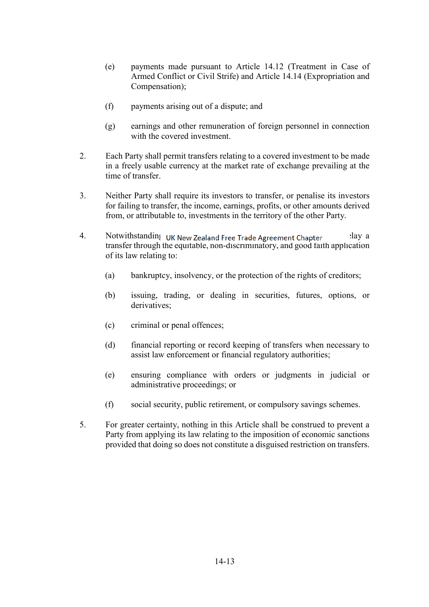- (e) payments made pursuant to Article 14.12 (Treatment in Case of Armed Conflict or Civil Strife) and Article 14.14 (Expropriation and Compensation);
- (f) payments arising out of a dispute; and
- (g) earnings and other remuneration of foreign personnel in connection with the covered investment.
- 2. Each Party shall permit transfers relating to a covered investment to be made in a freely usable currency at the market rate of exchange prevailing at the time of transfer.
- 3. Neither Party shall require its investors to transfer, or penalise its investors for failing to transfer, the income, earnings, profits, or other amounts derived from, or attributable to, investments in the territory of the other Party.
- 4. Notwithstanding UK New Zealand Free Trade Agreement Chapter and 2 and 2 transfer through the equitable, non-discriminatory, and good faith application of its law relating to:
	- (a) bankruptcy, insolvency, or the protection of the rights of creditors;
	- (b) issuing, trading, or dealing in securities, futures, options, or derivatives;
	- (c) criminal or penal offences;
	- (d) financial reporting or record keeping of transfers when necessary to assist law enforcement or financial regulatory authorities;
	- (e) ensuring compliance with orders or judgments in judicial or administrative proceedings; or
	- (f) social security, public retirement, or compulsory savings schemes.
- 5. For greater certainty, nothing in this Article shall be construed to prevent a Party from applying its law relating to the imposition of economic sanctions provided that doing so does not constitute a disguised restriction on transfers.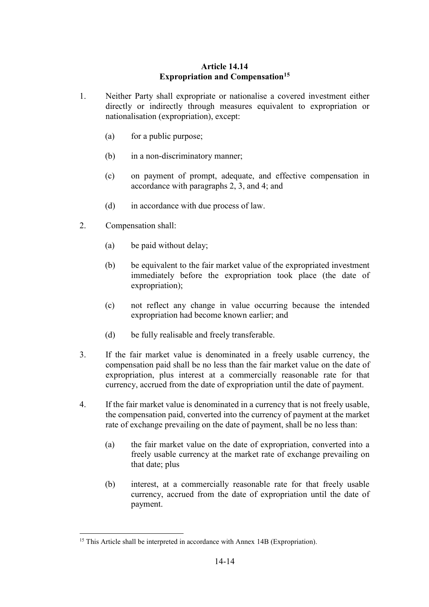# **Article 14.14 Expropriation and Compensation<sup>15</sup>**

- 1. Neither Party shall expropriate or nationalise a covered investment either directly or indirectly through measures equivalent to expropriation or nationalisation (expropriation), except:
	- (a) for a public purpose;
	- (b) in a non-discriminatory manner;
	- (c) on payment of prompt, adequate, and effective compensation in accordance with paragraphs 2, 3, and 4; and
	- (d) in accordance with due process of law.
- 2. Compensation shall:

- (a) be paid without delay;
- (b) be equivalent to the fair market value of the expropriated investment immediately before the expropriation took place (the date of expropriation);
- (c) not reflect any change in value occurring because the intended expropriation had become known earlier; and
- (d) be fully realisable and freely transferable.
- 3. If the fair market value is denominated in a freely usable currency, the compensation paid shall be no less than the fair market value on the date of expropriation, plus interest at a commercially reasonable rate for that currency, accrued from the date of expropriation until the date of payment.
- 4. If the fair market value is denominated in a currency that is not freely usable, the compensation paid, converted into the currency of payment at the market rate of exchange prevailing on the date of payment, shall be no less than:
	- (a) the fair market value on the date of expropriation, converted into a freely usable currency at the market rate of exchange prevailing on that date; plus
	- (b) interest, at a commercially reasonable rate for that freely usable currency, accrued from the date of expropriation until the date of payment.

<sup>&</sup>lt;sup>15</sup> This Article shall be interpreted in accordance with Annex 14B (Expropriation).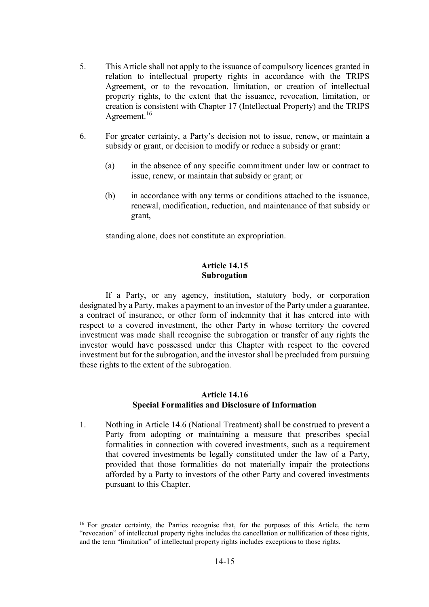- 5. This Article shall not apply to the issuance of compulsory licences granted in relation to intellectual property rights in accordance with the TRIPS Agreement, or to the revocation, limitation, or creation of intellectual property rights, to the extent that the issuance, revocation, limitation, or creation is consistent with Chapter 17 (Intellectual Property) and the TRIPS Agreement.<sup>16</sup>
- 6. For greater certainty, a Party's decision not to issue, renew, or maintain a subsidy or grant, or decision to modify or reduce a subsidy or grant:
	- (a) in the absence of any specific commitment under law or contract to issue, renew, or maintain that subsidy or grant; or
	- (b) in accordance with any terms or conditions attached to the issuance, renewal, modification, reduction, and maintenance of that subsidy or grant,

standing alone, does not constitute an expropriation.

## **Article 14.15 Subrogation**

If a Party, or any agency, institution, statutory body, or corporation designated by a Party, makes a payment to an investor of the Party under a guarantee, a contract of insurance, or other form of indemnity that it has entered into with respect to a covered investment, the other Party in whose territory the covered investment was made shall recognise the subrogation or transfer of any rights the investor would have possessed under this Chapter with respect to the covered investment but for the subrogation, and the investor shall be precluded from pursuing these rights to the extent of the subrogation.

### **Article 14.16 Special Formalities and Disclosure of Information**

1. Nothing in Article 14.6 (National Treatment) shall be construed to prevent a Party from adopting or maintaining a measure that prescribes special formalities in connection with covered investments, such as a requirement that covered investments be legally constituted under the law of a Party, provided that those formalities do not materially impair the protections afforded by a Party to investors of the other Party and covered investments pursuant to this Chapter.

<sup>&</sup>lt;sup>16</sup> For greater certainty, the Parties recognise that, for the purposes of this Article, the term "revocation" of intellectual property rights includes the cancellation or nullification of those rights, and the term "limitation" of intellectual property rights includes exceptions to those rights.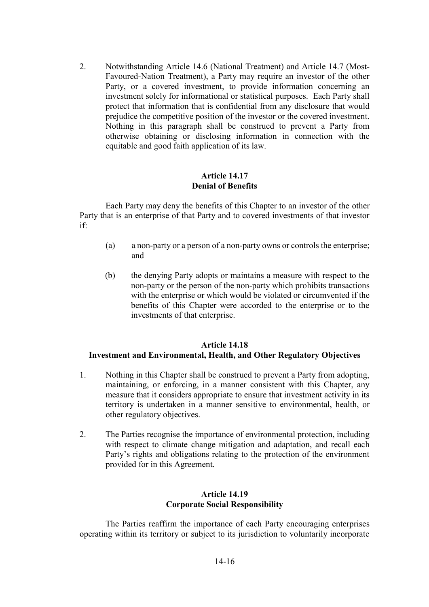2. Notwithstanding Article 14.6 (National Treatment) and Article 14.7 (Most-Favoured-Nation Treatment), a Party may require an investor of the other Party, or a covered investment, to provide information concerning an investment solely for informational or statistical purposes. Each Party shall protect that information that is confidential from any disclosure that would prejudice the competitive position of the investor or the covered investment. Nothing in this paragraph shall be construed to prevent a Party from otherwise obtaining or disclosing information in connection with the equitable and good faith application of its law.

#### **Article 14.17 Denial of Benefits**

Each Party may deny the benefits of this Chapter to an investor of the other Party that is an enterprise of that Party and to covered investments of that investor if:

- (a) a non-party or a person of a non-party owns or controls the enterprise; and
- (b) the denying Party adopts or maintains a measure with respect to the non-party or the person of the non-party which prohibits transactions with the enterprise or which would be violated or circumvented if the benefits of this Chapter were accorded to the enterprise or to the investments of that enterprise.

# **Article 14.18 Investment and Environmental, Health, and Other Regulatory Objectives**

- 1. Nothing in this Chapter shall be construed to prevent a Party from adopting, maintaining, or enforcing, in a manner consistent with this Chapter, any measure that it considers appropriate to ensure that investment activity in its territory is undertaken in a manner sensitive to environmental, health, or other regulatory objectives.
- 2. The Parties recognise the importance of environmental protection, including with respect to climate change mitigation and adaptation, and recall each Party's rights and obligations relating to the protection of the environment provided for in this Agreement.

# **Article 14.19 Corporate Social Responsibility**

The Parties reaffirm the importance of each Party encouraging enterprises operating within its territory or subject to its jurisdiction to voluntarily incorporate